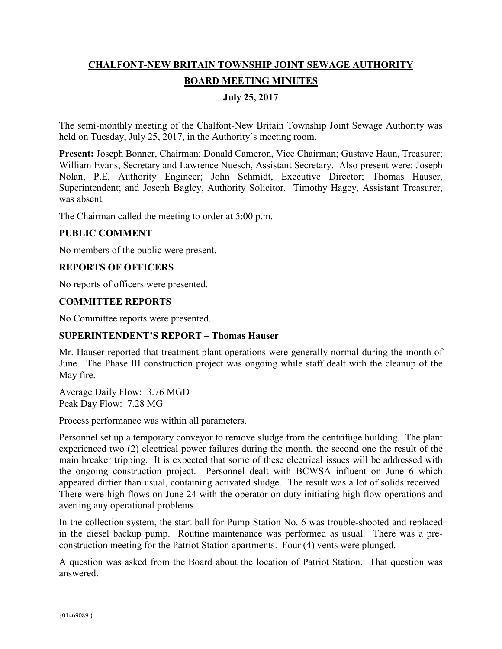# **CHALFONT-NEW BRITAIN TOWNSHIP JOINT SEWAGE AUTHORITY BOARD MEETING MINUTES**

## **July 25, 2017**

The semi-monthly meeting of the Chalfont-New Britain Township Joint Sewage Authority was held on Tuesday, July 25, 2017, in the Authority's meeting room.

**Present:** Joseph Bonner, Chairman; Donald Cameron, Vice Chairman; Gustave Haun, Treasurer; William Evans, Secretary and Lawrence Nuesch, Assistant Secretary. Also present were: Joseph Nolan, P.E, Authority Engineer; John Schmidt, Executive Director; Thomas Hauser, Superintendent; and Joseph Bagley, Authority Solicitor. Timothy Hagey, Assistant Treasurer, was absent.

The Chairman called the meeting to order at 5:00 p.m.

#### **PUBLIC COMMENT**

No members of the public were present.

#### **REPORTS OF OFFICERS**

No reports of officers were presented.

#### **COMMITTEE REPORTS**

No Committee reports were presented.

#### **SUPERINTENDENT'S REPORT – Thomas Hauser**

Mr. Hauser reported that treatment plant operations were generally normal during the month of June. The Phase III construction project was ongoing while staff dealt with the cleanup of the May fire.

Average Daily Flow: 3.76 MGD Peak Day Flow: 7.28 MG

Process performance was within all parameters.

Personnel set up a temporary conveyor to remove sludge from the centrifuge building. The plant experienced two (2) electrical power failures during the month, the second one the result of the main breaker tripping. It is expected that some of these electrical issues will be addressed with the ongoing construction project. Personnel dealt with BCWSA influent on June 6 which appeared dirtier than usual, containing activated sludge. The result was a lot of solids received. There were high flows on June 24 with the operator on duty initiating high flow operations and averting any operational problems.

In the collection system, the start ball for Pump Station No. 6 was trouble-shooted and replaced in the diesel backup pump. Routine maintenance was performed as usual. There was a preconstruction meeting for the Patriot Station apartments. Four (4) vents were plunged.

A question was asked from the Board about the location of Patriot Station. That question was answered.